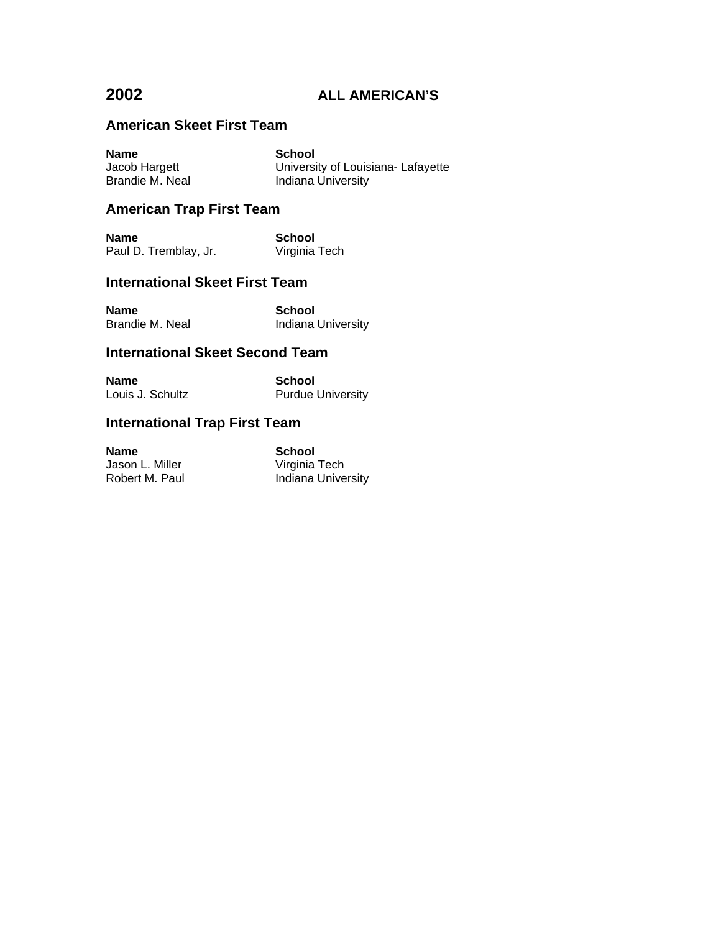# **American Skeet First Team**

| <b>Name</b>     | <b>School</b>                      |
|-----------------|------------------------------------|
| Jacob Hargett   | University of Louisiana- Lafayette |
| Brandie M. Neal | Indiana University                 |

# **American Trap First Team**

| <b>Name</b>           | School        |
|-----------------------|---------------|
| Paul D. Tremblay, Jr. | Virginia Tech |

## **International Skeet First Team**

| <b>Name</b>     | School             |
|-----------------|--------------------|
| Brandie M. Neal | Indiana University |

## **International Skeet Second Team**

| Name             | School                   |
|------------------|--------------------------|
| Louis J. Schultz | <b>Purdue University</b> |

# **International Trap First Team**

| Name            | School             |
|-----------------|--------------------|
| Jason L. Miller | Virginia Tech      |
| Robert M. Paul  | Indiana University |

**School**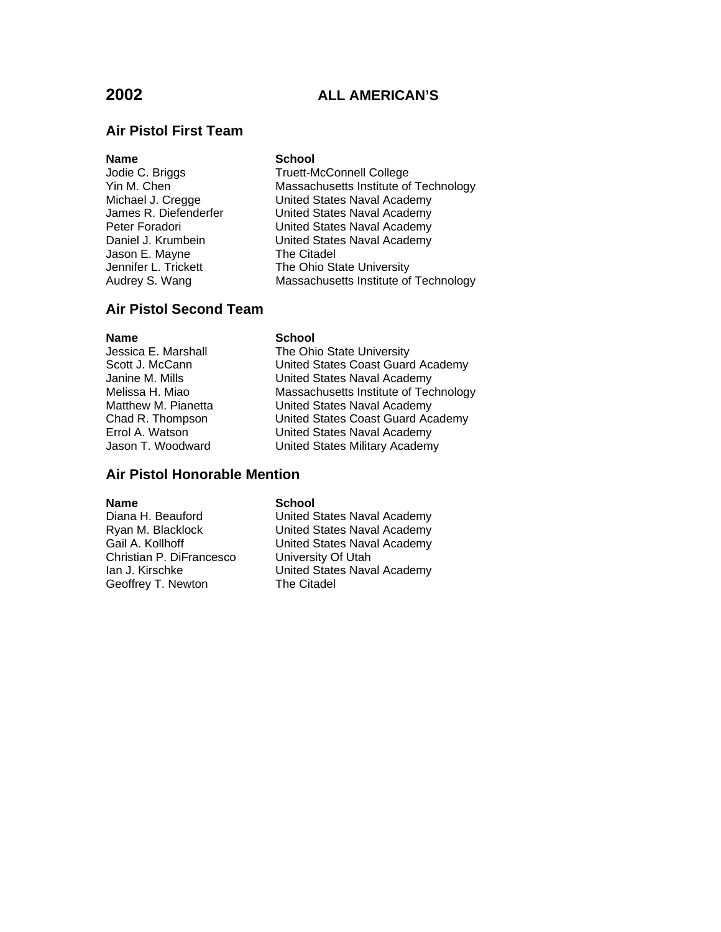# **Air Pistol First Team**

Jason E. Mayne

## **Name** School

Jodie C. Briggs Truett-McConnell College Yin M. Chen Massachusetts Institute of Technology Michael J. Cregge United States Naval Academy<br>James R. Diefenderfer United States Naval Academy United States Naval Academy Peter Foradori **Naval Academy**<br>
Daniel J. Krumbein **Naval Academy**<br>
United States Naval Academy United States Naval Academy<br>The Citadel Jennifer L. Trickett The Ohio State University<br>Audrey S. Wang Nassachusetts Institute of Massachusetts Institute of Technology

## **Air Pistol Second Team**

## **Name** School

Jessica E. Marshall The Ohio State University<br>
Scott J. McCann<br>
United States Coast Guard Scott J. McCann **States Coast Guard Academy**<br>Janine M. Mills Janited States Naval Academy United States Naval Academy Melissa H. Miao Massachusetts Institute of Technology Matthew M. Pianetta **United States Naval Academy** Chad R. Thompson United States Coast Guard Academy Errol A. Watson **Errol A. Watson** United States Naval Academy<br>Jason T. Woodward **United States Military Academ** United States Military Academy

## **Air Pistol Honorable Mention**

## **Name** School

Christian P. DiFrancesco University Of Utah<br>Ian J. Kirschke Van United States Nava Geoffrey T. Newton The Citadel

Diana H. Beauford **United States Naval Academy**<br>
Ryan M. Blacklock **National United States Naval Academy** United States Naval Academy Gail A. Kollhoff United States Naval Academy United States Naval Academy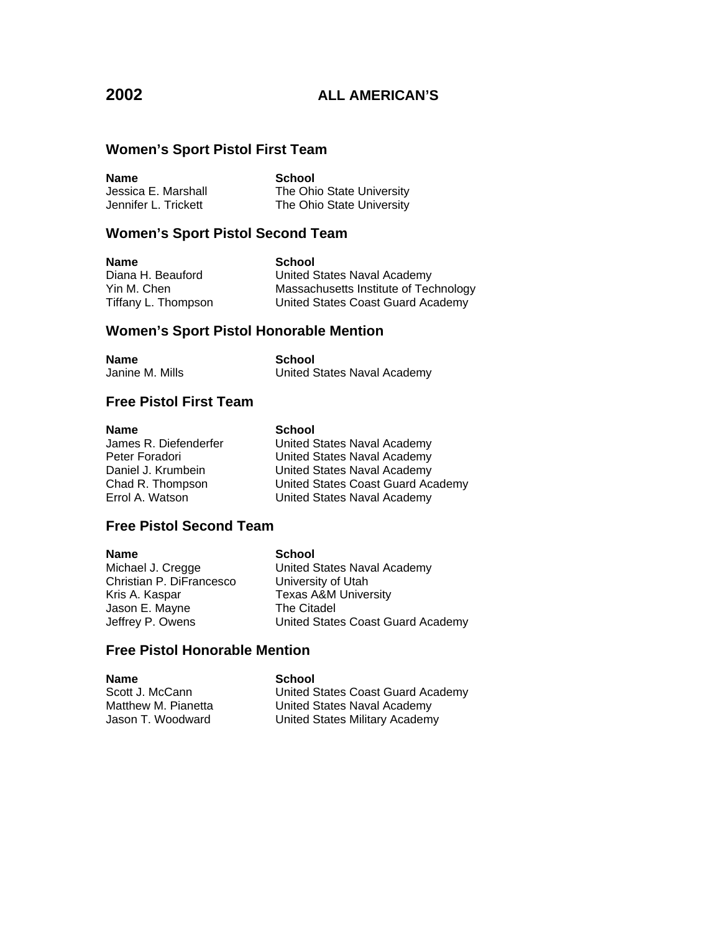# **Women's Sport Pistol First Team**

**Name School**<br> **Jessica E. Marshall The Ohi** The Ohio State University Jennifer L. Trickett The Ohio State University

## **Women's Sport Pistol Second Team**

**Name** School

Diana H. Beauford United States Naval Academy Yin M. Chen Massachusetts Institute of Technology Tiffany L. Thompson United States Coast Guard Academy

## **Women's Sport Pistol Honorable Mention**

| <b>Name</b>     | School                      |
|-----------------|-----------------------------|
| Janine M. Mills | United States Naval Academy |

## **Free Pistol First Team**

## **Name** School

James R. Diefenderfer **United States Naval Academy** Peter Foradori **Verter States Naval Academy** Daniel J. Krumbein **United States Naval Academy** Chad R. Thompson United States Coast Guard Academy Errol A. Watson United States Naval Academy

## **Free Pistol Second Team**

**Name** School Christian P. DiFrancesco University of Utah Kris A. Kaspar Texas A&M University Jason E. Mayne

Michael J. Cregge United States Naval Academy Jeffrey P. Owens United States Coast Guard Academy

## **Free Pistol Honorable Mention**

**Name**<br>Scott J. McCann **School**<br>United S

United States Coast Guard Academy Matthew M. Pianetta **United States Naval Academy** Jason T. Woodward United States Military Academy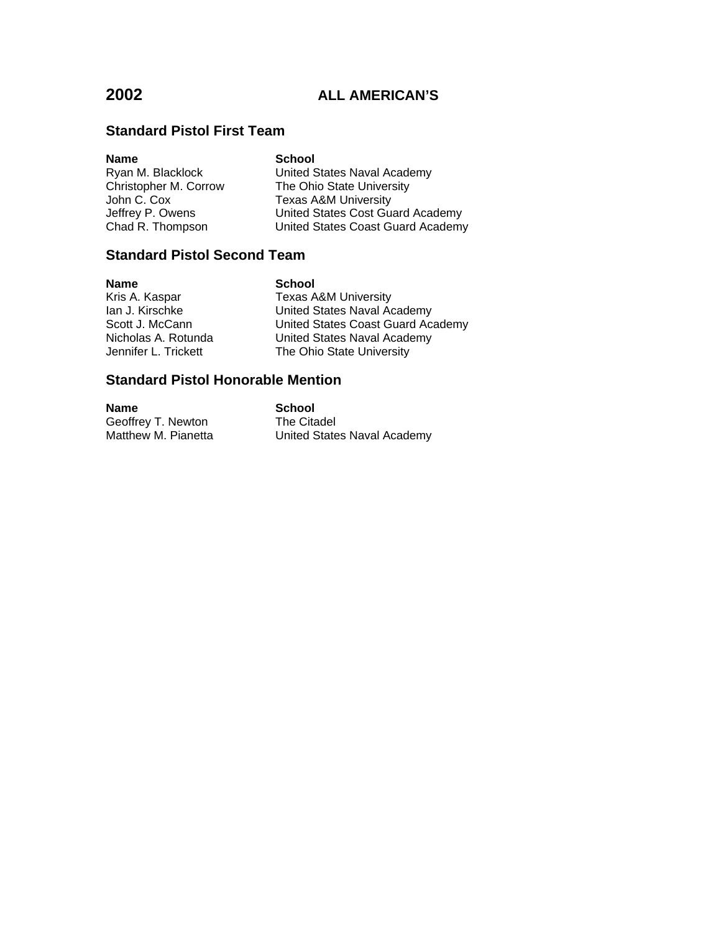# **Standard Pistol First Team**

| <b>Name</b>           | <b>School</b>                     |
|-----------------------|-----------------------------------|
| Ryan M. Blacklock     | United States Naval Academy       |
| Christopher M. Corrow | The Ohio State University         |
| John C. Cox           | <b>Texas A&amp;M University</b>   |
| Jeffrey P. Owens      | United States Cost Guard Academy  |
| Chad R. Thompson      | United States Coast Guard Academy |

# **Standard Pistol Second Team**

| <b>Name</b>          | <b>School</b>                     |
|----------------------|-----------------------------------|
| Kris A. Kaspar       | <b>Texas A&amp;M University</b>   |
| lan J. Kirschke      | United States Naval Academy       |
| Scott J. McCann      | United States Coast Guard Academy |
| Nicholas A. Rotunda  | United States Naval Academy       |
| Jennifer L. Trickett | The Ohio State University         |
|                      |                                   |

# **Standard Pistol Honorable Mention**

| <b>Name</b>         | <b>School</b>               |
|---------------------|-----------------------------|
| Geoffrey T. Newton  | The Citadel                 |
| Matthew M. Pianetta | United States Naval Academy |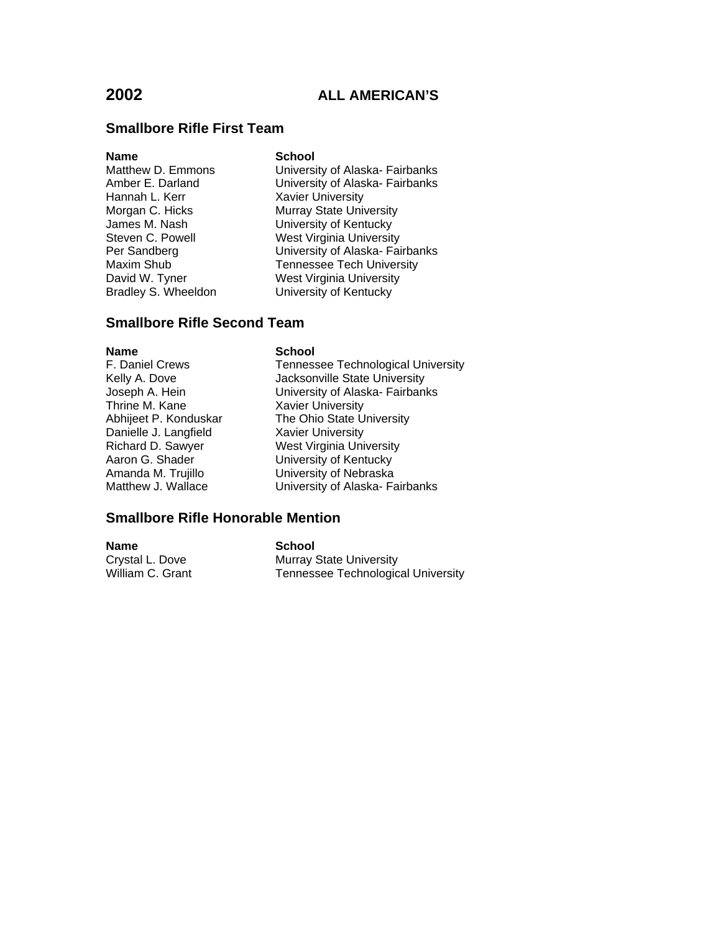## **Smallbore Rifle First Team**

**Name School**<br>
Matthew D. Emmons **Charles** Hannah L. Kerr **Xavier University**<br>Morgan C. Hicks **Murray State University** 

University of Alaska- Fairbanks Amber E. Darland University of Alaska- Fairbanks Murray State University James M. Nash University of Kentucky Steven C. Powell West Virginia University Per Sandberg University of Alaska- Fairbanks Maxim Shub Tennessee Tech University<br>David W. Tyner West Virginia University David W. Tyner West Virginia University<br>
Bradley S. Wheeldon University of Kentucky University of Kentucky

## **Smallbore Rifle Second Team**

**Name School**<br> **F.** Daniel Crews **School**<br> **School** Thrine M. Kane Xavier University Danielle J. Langfield Xavier University<br>Richard D. Sawyer Xest Virginia Uni

Tennessee Technological University Kelly A. Dove **Jacksonville State University** Joseph A. Hein University of Alaska- Fairbanks Abhijeet P. Konduskar The Ohio State University Richard D. Sawyer West Virginia University<br>
Aaron G. Shader **M. W. University of Kentucky** University of Kentucky Amanda M. Trujillo<br>Matthew J. Wallace **Matthew J. Wallace** University of Alaska-Fa University of Alaska- Fairbanks

## **Smallbore Rifle Honorable Mention**

**Name School**<br>Crystal L. Dove **Murray** 8 Crystal L. Dove **Murray State University**<br>
William C. Grant Muscle Technologic Tennessee Technological University